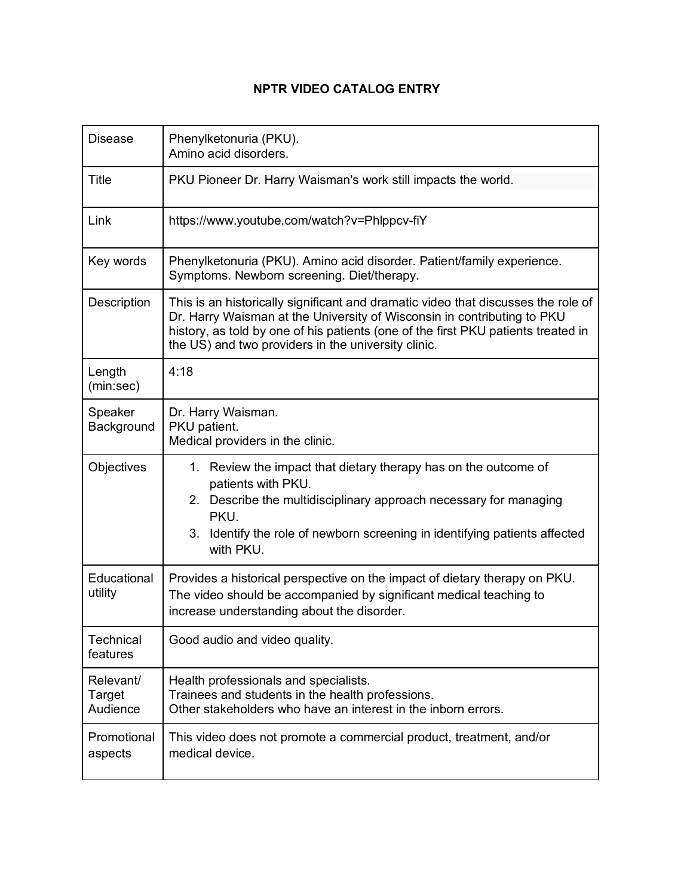## **NPTR VIDEO CATALOG ENTRY**

| <b>Disease</b>                  | Phenylketonuria (PKU).<br>Amino acid disorders.                                                                                                                                                                                                                                                          |
|---------------------------------|----------------------------------------------------------------------------------------------------------------------------------------------------------------------------------------------------------------------------------------------------------------------------------------------------------|
| Title                           | PKU Pioneer Dr. Harry Waisman's work still impacts the world.                                                                                                                                                                                                                                            |
| Link                            | https://www.youtube.com/watch?v=Phlppcv-fiY                                                                                                                                                                                                                                                              |
| Key words                       | Phenylketonuria (PKU). Amino acid disorder. Patient/family experience.<br>Symptoms. Newborn screening. Diet/therapy.                                                                                                                                                                                     |
| Description                     | This is an historically significant and dramatic video that discusses the role of<br>Dr. Harry Waisman at the University of Wisconsin in contributing to PKU<br>history, as told by one of his patients (one of the first PKU patients treated in<br>the US) and two providers in the university clinic. |
| Length<br>(min:sec)             | 4:18                                                                                                                                                                                                                                                                                                     |
| Speaker<br>Background           | Dr. Harry Waisman.<br>PKU patient.<br>Medical providers in the clinic.                                                                                                                                                                                                                                   |
| Objectives                      | 1. Review the impact that dietary therapy has on the outcome of<br>patients with PKU.<br>2. Describe the multidisciplinary approach necessary for managing<br>PKU.<br>3. Identify the role of newborn screening in identifying patients affected<br>with PKU.                                            |
| Educational<br>utility          | Provides a historical perspective on the impact of dietary therapy on PKU.<br>The video should be accompanied by significant medical teaching to<br>increase understanding about the disorder.                                                                                                           |
| <b>Technical</b><br>features    | Good audio and video quality.                                                                                                                                                                                                                                                                            |
| Relevant/<br>Target<br>Audience | Health professionals and specialists.<br>Trainees and students in the health professions.<br>Other stakeholders who have an interest in the inborn errors.                                                                                                                                               |
| Promotional<br>aspects          | This video does not promote a commercial product, treatment, and/or<br>medical device.                                                                                                                                                                                                                   |